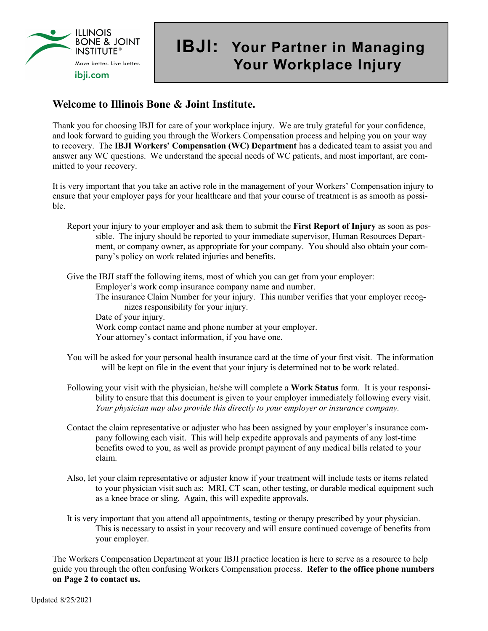

## **IBJI: Your Partner in Managing Your Workplace Injury**

## **Welcome to Illinois Bone & Joint Institute.**

Thank you for choosing IBJI for care of your workplace injury. We are truly grateful for your confidence, and look forward to guiding you through the Workers Compensation process and helping you on your way to recovery. The **IBJI Workers' Compensation (WC) Department** has a dedicated team to assist you and answer any WC questions. We understand the special needs of WC patients, and most important, are committed to your recovery.

It is very important that you take an active role in the management of your Workers' Compensation injury to ensure that your employer pays for your healthcare and that your course of treatment is as smooth as possible.

Report your injury to your employer and ask them to submit the **First Report of Injury** as soon as possible. The injury should be reported to your immediate supervisor, Human Resources Department, or company owner, as appropriate for your company. You should also obtain your company's policy on work related injuries and benefits.

Give the IBJI staff the following items, most of which you can get from your employer:

Employer's work comp insurance company name and number.

- The insurance Claim Number for your injury. This number verifies that your employer recognizes responsibility for your injury.
- Date of your injury.

Work comp contact name and phone number at your employer.

- Your attorney's contact information, if you have one.
- You will be asked for your personal health insurance card at the time of your first visit. The information will be kept on file in the event that your injury is determined not to be work related.
- Following your visit with the physician, he/she will complete a **Work Status** form. It is your responsibility to ensure that this document is given to your employer immediately following every visit. *Your physician may also provide this directly to your employer or insurance company.*
- Contact the claim representative or adjuster who has been assigned by your employer's insurance company following each visit. This will help expedite approvals and payments of any lost-time benefits owed to you, as well as provide prompt payment of any medical bills related to your claim.
- Also, let your claim representative or adjuster know if your treatment will include tests or items related to your physician visit such as: MRI, CT scan, other testing, or durable medical equipment such as a knee brace or sling. Again, this will expedite approvals.
- It is very important that you attend all appointments, testing or therapy prescribed by your physician. This is necessary to assist in your recovery and will ensure continued coverage of benefits from your employer.

The Workers Compensation Department at your IBJI practice location is here to serve as a resource to help guide you through the often confusing Workers Compensation process. **Refer to the office phone numbers on Page 2 to contact us.**